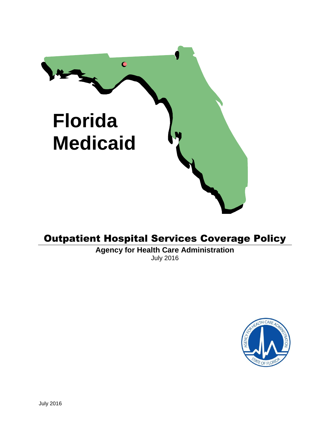

# Outpatient Hospital Services Coverage Policy

**Agency for Health Care Administration** July 2016

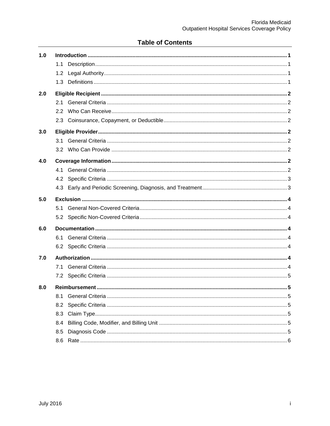## **Table of Contents**

| 1.0 |               |  |
|-----|---------------|--|
|     | 1.1           |  |
|     |               |  |
|     | 1.3           |  |
| 2.0 |               |  |
|     |               |  |
|     | $2.2^{\circ}$ |  |
|     |               |  |
| 3.0 |               |  |
|     |               |  |
|     |               |  |
| 4.0 |               |  |
|     |               |  |
|     | 4.2           |  |
|     | 4.3           |  |
| 5.0 |               |  |
|     | 5.1           |  |
|     | 5.2           |  |
| 6.0 |               |  |
|     | 6.1           |  |
|     |               |  |
| 7.0 |               |  |
|     | 7.1           |  |
|     |               |  |
| 8.0 |               |  |
|     | 8.1           |  |
|     | 8.2           |  |
|     | 8.3           |  |
|     | 8.4           |  |
|     | 8.5           |  |
|     | 8.6           |  |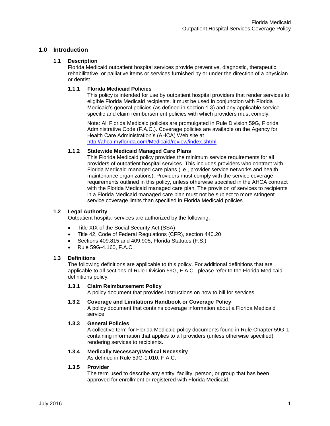## <span id="page-2-1"></span><span id="page-2-0"></span>**1.0 Introduction**

## **1.1 Description**

Florida Medicaid outpatient hospital services provide preventive, diagnostic, therapeutic, rehabilitative, or palliative items or services furnished by or under the direction of a physician or dentist.

## **1.1.1 Florida Medicaid Policies**

This policy is intended for use by outpatient hospital providers that render services to eligible Florida Medicaid recipients. It must be used in conjunction with Florida Medicaid's general policies (as defined in section 1.3) and any applicable servicespecific and claim reimbursement policies with which providers must comply.

Note: All Florida Medicaid policies are promulgated in Rule Division 59G, Florida Administrative Code (F.A.C.). Coverage policies are available on the Agency for Health Care Administration's (AHCA) Web site at [http://ahca.myflorida.com/Medicaid/review/index.shtml.](http://ahca.myflorida.com/Medicaid/review/index.shtml)

#### **1.1.2 Statewide Medicaid Managed Care Plans**

This Florida Medicaid policy provides the minimum service requirements for all providers of outpatient hospital services. This includes providers who contract with Florida Medicaid managed care plans (i.e., provider service networks and health maintenance organizations). Providers must comply with the service coverage requirements outlined in this policy, unless otherwise specified in the AHCA contract with the Florida Medicaid managed care plan. The provision of services to recipients in a Florida Medicaid managed care plan must not be subject to more stringent service coverage limits than specified in Florida Medicaid policies.

#### <span id="page-2-2"></span>**1.2 Legal Authority**

Outpatient hospital services are authorized by the following:

- Title XIX of the Social Security Act (SSA)
- Title 42, Code of Federal Regulations (CFR), section 440.20
- Sections 409.815 and 409.905, Florida Statutes (F.S.)
- Rule 59G-4.160, F.A.C.

#### <span id="page-2-3"></span>**1.3 Definitions**

The following definitions are applicable to this policy. For additional definitions that are applicable to all sections of Rule Division 59G, F.A.C., please refer to the Florida Medicaid definitions policy.

#### **1.3.1 Claim Reimbursement Policy**

A policy document that provides instructions on how to bill for services.

- **1.3.2 Coverage and Limitations Handbook or Coverage Policy** A policy document that contains coverage information about a Florida Medicaid
	- service.

#### **1.3.3 General Policies**

A collective term for Florida Medicaid policy documents found in Rule Chapter 59G-1 containing information that applies to all providers (unless otherwise specified) rendering services to recipients.

## **1.3.4 Medically Necessary/Medical Necessity**

As defined in Rule 59G-1.010, F.A.C.

#### **1.3.5 Provider**

The term used to describe any entity, facility, person, or group that has been approved for enrollment or registered with Florida Medicaid.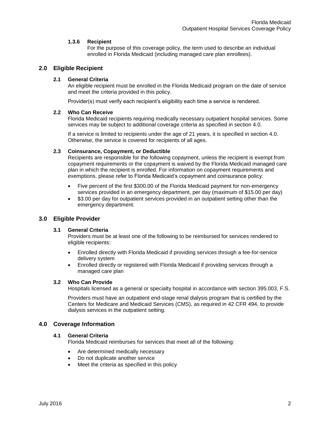#### **1.3.6 Recipient**

For the purpose of this coverage policy, the term used to describe an individual enrolled in Florida Medicaid (including managed care plan enrollees).

## <span id="page-3-1"></span><span id="page-3-0"></span>**2.0 Eligible Recipient**

## **2.1 General Criteria**

An eligible recipient must be enrolled in the Florida Medicaid program on the date of service and meet the criteria provided in this policy.

Provider(s) must verify each recipient's eligibility each time a service is rendered.

#### <span id="page-3-2"></span>**2.2 Who Can Receive**

Florida Medicaid recipients requiring medically necessary outpatient hospital services. Some services may be subject to additional coverage criteria as specified in section 4.0.

If a service is limited to recipients under the age of 21 years, it is specified in section 4.0. Otherwise, the service is covered for recipients of all ages.

#### <span id="page-3-3"></span>**2.3 Coinsurance, Copayment, or Deductible**

Recipients are responsible for the following copayment, unless the recipient is exempt from copayment requirements or the copayment is waived by the Florida Medicaid managed care plan in which the recipient is enrolled. For information on copayment requirements and exemptions, please refer to Florida Medicaid's copayment and coinsurance policy:

- Five percent of the first \$300.00 of the Florida Medicaid payment for non-emergency services provided in an emergency department, per day (maximum of \$15.00 per day)
- \$3.00 per day for outpatient services provided in an outpatient setting other than the emergency department.

## <span id="page-3-5"></span><span id="page-3-4"></span>**3.0 Eligible Provider**

## **3.1 General Criteria**

Providers must be at least one of the following to be reimbursed for services rendered to eligible recipients:

- Enrolled directly with Florida Medicaid if providing services through a fee-for-service delivery system
- Enrolled directly or registered with Florida Medicaid if providing services through a managed care plan

#### <span id="page-3-6"></span>**3.2 Who Can Provide**

Hospitals licensed as a general or specialty hospital in accordance with section 395.003, F.S.

Providers must have an outpatient end-stage renal dialysis program that is certified by the Centers for Medicare and Medicaid Services (CMS), as required in 42 CFR 494, to provide dialysis services in the outpatient setting.

## <span id="page-3-8"></span><span id="page-3-7"></span>**4.0 Coverage Information**

#### **4.1 General Criteria**

Florida Medicaid reimburses for services that meet all of the following:

- Are determined medically necessary
- Do not duplicate another service
- Meet the criteria as specified in this policy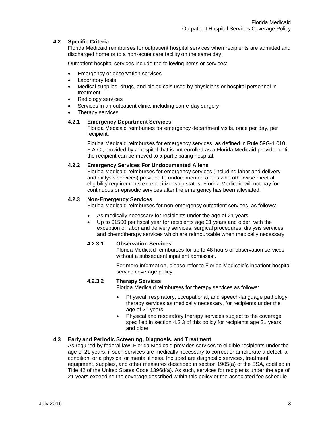#### <span id="page-4-0"></span>**4.2 Specific Criteria**

Florida Medicaid reimburses for outpatient hospital services when recipients are admitted and discharged home or to a non-acute care facility on the same day.

Outpatient hospital services include the following items or services:

- **Emergency or observation services**
- Laboratory tests
- Medical supplies, drugs, and biologicals used by physicians or hospital personnel in treatment
- Radiology services
- Services in an outpatient clinic, including same-day surgery
- Therapy services

#### **4.2.1 Emergency Department Services**

Florida Medicaid reimburses for emergency department visits, once per day, per recipient.

Florida Medicaid reimburses for emergency services, as defined in Rule 59G-1.010, F.A.C., provided by a hospital that is not enrolled as a Florida Medicaid provider until the recipient can be moved to **a** participating hospital.

#### **4.2.2 Emergency Services For Undocumented Aliens**

Florida Medicaid reimburses for emergency services (including labor and delivery and dialysis services) provided to undocumented aliens who otherwise meet all eligibility requirements except citizenship status. Florida Medicaid will not pay for continuous or episodic services after the emergency has been alleviated.

#### **4.2.3 Non-Emergency Services**

Florida Medicaid reimburses for non-emergency outpatient services, as follows:

- As medically necessary for recipients under the age of 21 years
- Up to \$1500 per fiscal year for recipients age 21 years and older, with the exception of labor and delivery services, surgical procedures, dialysis services, and chemotherapy services which are reimbursable when medically necessary

#### **4.2.3.1 Observation Services**

Florida Medicaid reimburses for up to 48 hours of observation services without a subsequent inpatient admission.

For more information, please refer to Florida Medicaid's inpatient hospital service coverage policy.

#### **4.2.3.2 Therapy Services**

Florida Medicaid reimburses for therapy services as follows:

- Physical, respiratory, occupational, and speech-language pathology therapy services as medically necessary, for recipients under the age of 21 years
- Physical and respiratory therapy services subject to the coverage specified in section 4.2.3 of this policy for recipients age 21 years and older

## <span id="page-4-1"></span>**4.3 Early and Periodic Screening, Diagnosis, and Treatment**

As required by federal law, Florida Medicaid provides services to eligible recipients under the age of 21 years, if such services are medically necessary to correct or ameliorate a defect, a condition, or a physical or mental illness. Included are diagnostic services, treatment, equipment, supplies, and other measures described in section 1905(a) of the SSA, codified in Title 42 of the United States Code 1396d(a). As such, services for recipients under the age of 21 years exceeding the coverage described within this policy or the associated fee schedule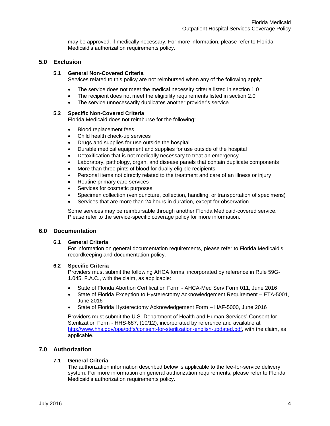may be approved, if medically necessary. For more information, please refer to Florida Medicaid's authorization requirements policy.

## <span id="page-5-1"></span><span id="page-5-0"></span>**5.0 Exclusion**

#### **5.1 General Non-Covered Criteria**

Services related to this policy are not reimbursed when any of the following apply:

- The service does not meet the medical necessity criteria listed in section 1.0
- The recipient does not meet the eligibility requirements listed in section 2.0
- The service unnecessarily duplicates another provider's service

#### <span id="page-5-2"></span>**5.2 Specific Non-Covered Criteria**

Florida Medicaid does not reimburse for the following:

- Blood replacement fees
- Child health check-up services
- Drugs and supplies for use outside the hospital
- Durable medical equipment and supplies for use outside of the hospital
- Detoxification that is not medically necessary to treat an emergency
- Laboratory, pathology, organ, and disease panels that contain duplicate components
- More than three pints of blood for dually eligible recipients
- Personal items not directly related to the treatment and care of an illness or injury
- Routine primary care services
- Services for cosmetic purposes
- Specimen collection (venipuncture, collection, handling, or transportation of specimens)
- Services that are more than 24 hours in duration, except for observation

Some services may be reimbursable through another Florida Medicaid-covered service. Please refer to the service-specific coverage policy for more information.

## <span id="page-5-4"></span><span id="page-5-3"></span>**6.0 Documentation**

#### **6.1 General Criteria**

For information on general documentation requirements, please refer to Florida Medicaid's recordkeeping and documentation policy.

#### <span id="page-5-5"></span>**6.2 Specific Criteria**

Providers must submit the following AHCA forms, incorporated by reference in Rule 59G-1.045, F.A.C., with the claim, as applicable:

- State of Florida Abortion Certification Form AHCA-Med Serv Form 011, June 2016
- State of Florida Exception to Hysterectomy Acknowledgement Requirement ETA-5001, June 2016
- State of Florida Hysterectomy Acknowledgement Form HAF-5000, June 2016

Providers must submit the U.S. Department of Health and Human Services' Consent for Sterilization Form - HHS-687, (10/12), incorporated by reference and available at [http://www.hhs.gov/opa/pdfs/consent-for-sterilization-english-updated.pdf,](http://www.hhs.gov/opa/pdfs/consent-for-sterilization-english-updated.pdf) with the claim, as applicable.

## <span id="page-5-7"></span><span id="page-5-6"></span>**7.0 Authorization**

#### **7.1 General Criteria**

The authorization information described below is applicable to the fee-for-service delivery system. For more information on general authorization requirements, please refer to Florida Medicaid's authorization requirements policy.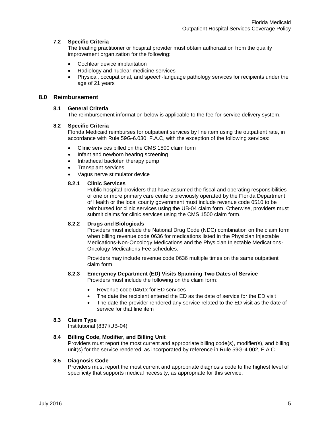#### <span id="page-6-0"></span>**7.2 Specific Criteria**

The treating practitioner or hospital provider must obtain authorization from the quality improvement organization for the following:

- Cochlear device implantation
- Radiology and nuclear medicine services
- Physical, occupational, and speech-language pathology services for recipients under the age of 21 years

## <span id="page-6-2"></span><span id="page-6-1"></span>**8.0 Reimbursement**

#### **8.1 General Criteria**

The reimbursement information below is applicable to the fee-for-service delivery system.

#### <span id="page-6-3"></span>**8.2 Specific Criteria**

Florida Medicaid reimburses for outpatient services by line item using the outpatient rate, in accordance with Rule 59G-6.030, F.A.C, with the exception of the following services:

- Clinic services billed on the CMS 1500 claim form
- Infant and newborn hearing screening
- Intrathecal baclofen therapy pump
- Transplant services
- Vagus nerve stimulator device

#### **8.2.1 Clinic Services**

Public hospital providers that have assumed the fiscal and operating responsibilities of one or more primary care centers previously operated by the Florida Department of Health or the local county government must include revenue code 0510 to be reimbursed for clinic services using the UB-04 claim form. Otherwise, providers must submit claims for clinic services using the CMS 1500 claim form.

#### **8.2.2 Drugs and Biologicals**

Providers must include the National Drug Code (NDC) combination on the claim form when billing revenue code 0636 for medications listed in the Physician Injectable Medications-Non-Oncology Medications and the Physician Injectable Medications-Oncology Medications Fee schedules.

Providers may include revenue code 0636 multiple times on the same outpatient claim form.

## **8.2.3 Emergency Department (ED) Visits Spanning Two Dates of Service**

Providers must include the following on the claim form:

- Revenue code 0451x for ED services
- The date the recipient entered the ED as the date of service for the ED visit
- The date the provider rendered any service related to the ED visit as the date of service for that line item

## <span id="page-6-4"></span>**8.3 Claim Type**

Institutional (837I/UB-04)

#### <span id="page-6-5"></span>**8.4 Billing Code, Modifier, and Billing Unit**

Providers must report the most current and appropriate billing code(s), modifier(s), and billing unit(s) for the service rendered, as incorporated by reference in Rule 59G-4.002, F.A.C.

#### <span id="page-6-6"></span>**8.5 Diagnosis Code**

Providers must report the most current and appropriate diagnosis code to the highest level of specificity that supports medical necessity, as appropriate for this service.